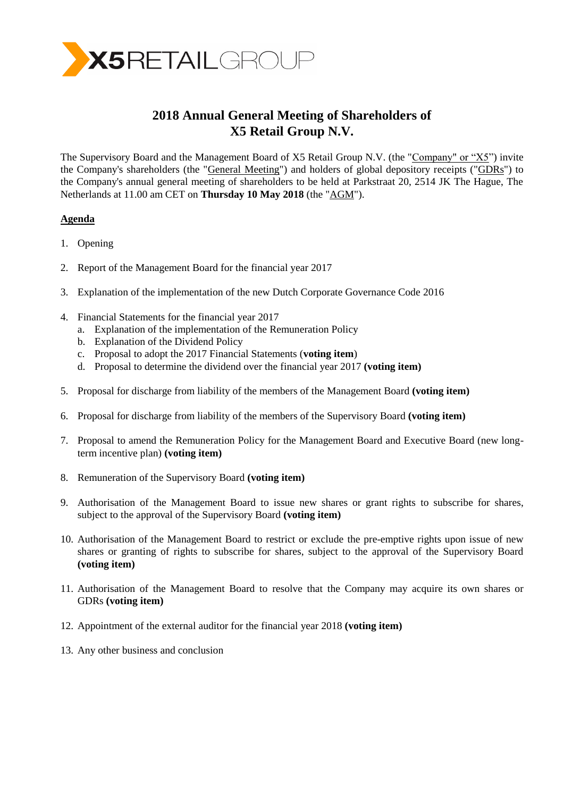

# **2018 Annual General Meeting of Shareholders of X5 Retail Group N.V.**

The Supervisory Board and the Management Board of X5 Retail Group N.V. (the "Company" or "X5") invite the Company's shareholders (the "General Meeting") and holders of global depository receipts ("GDRs") to the Company's annual general meeting of shareholders to be held at Parkstraat 20, 2514 JK The Hague, The Netherlands at 11.00 am CET on **Thursday 10 May 2018** (the "AGM").

## **Agenda**

- 1. Opening
- 2. Report of the Management Board for the financial year 2017
- 3. Explanation of the implementation of the new Dutch Corporate Governance Code 2016
- 4. Financial Statements for the financial year 2017
	- a. Explanation of the implementation of the Remuneration Policy
	- b. Explanation of the Dividend Policy
	- c. Proposal to adopt the 2017 Financial Statements (**voting item**)
	- d. Proposal to determine the dividend over the financial year 2017 **(voting item)**
- 5. Proposal for discharge from liability of the members of the Management Board **(voting item)**
- 6. Proposal for discharge from liability of the members of the Supervisory Board **(voting item)**
- 7. Proposal to amend the Remuneration Policy for the Management Board and Executive Board (new longterm incentive plan) **(voting item)**
- 8. Remuneration of the Supervisory Board **(voting item)**
- 9. Authorisation of the Management Board to issue new shares or grant rights to subscribe for shares, subject to the approval of the Supervisory Board **(voting item)**
- 10. Authorisation of the Management Board to restrict or exclude the pre-emptive rights upon issue of new shares or granting of rights to subscribe for shares, subject to the approval of the Supervisory Board **(voting item)**
- 11. Authorisation of the Management Board to resolve that the Company may acquire its own shares or GDRs **(voting item)**
- 12. Appointment of the external auditor for the financial year 2018 **(voting item)**
- 13. Any other business and conclusion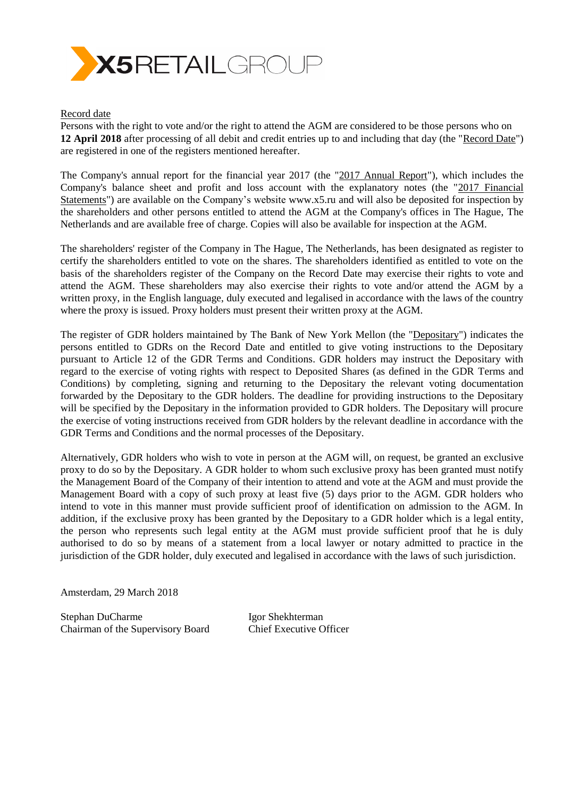

## Record date

Persons with the right to vote and/or the right to attend the AGM are considered to be those persons who on **12 April 2018** after processing of all debit and credit entries up to and including that day (the "Record Date") are registered in one of the registers mentioned hereafter.

The Company's annual report for the financial year 2017 (the "2017 Annual Report"), which includes the Company's balance sheet and profit and loss account with the explanatory notes (the "2017 Financial Statements") are available on the Company's website [www.x5.ru](http://www.x5.ru/) and will also be deposited for inspection by the shareholders and other persons entitled to attend the AGM at the Company's offices in The Hague, The Netherlands and are available free of charge. Copies will also be available for inspection at the AGM.

The shareholders' register of the Company in The Hague, The Netherlands, has been designated as register to certify the shareholders entitled to vote on the shares. The shareholders identified as entitled to vote on the basis of the shareholders register of the Company on the Record Date may exercise their rights to vote and attend the AGM. These shareholders may also exercise their rights to vote and/or attend the AGM by a written proxy, in the English language, duly executed and legalised in accordance with the laws of the country where the proxy is issued. Proxy holders must present their written proxy at the AGM.

The register of GDR holders maintained by The Bank of New York Mellon (the "Depositary") indicates the persons entitled to GDRs on the Record Date and entitled to give voting instructions to the Depositary pursuant to Article 12 of the GDR Terms and Conditions. GDR holders may instruct the Depositary with regard to the exercise of voting rights with respect to Deposited Shares (as defined in the GDR Terms and Conditions) by completing, signing and returning to the Depositary the relevant voting documentation forwarded by the Depositary to the GDR holders. The deadline for providing instructions to the Depositary will be specified by the Depositary in the information provided to GDR holders. The Depositary will procure the exercise of voting instructions received from GDR holders by the relevant deadline in accordance with the GDR Terms and Conditions and the normal processes of the Depositary.

Alternatively, GDR holders who wish to vote in person at the AGM will, on request, be granted an exclusive proxy to do so by the Depositary. A GDR holder to whom such exclusive proxy has been granted must notify the Management Board of the Company of their intention to attend and vote at the AGM and must provide the Management Board with a copy of such proxy at least five (5) days prior to the AGM. GDR holders who intend to vote in this manner must provide sufficient proof of identification on admission to the AGM. In addition, if the exclusive proxy has been granted by the Depositary to a GDR holder which is a legal entity, the person who represents such legal entity at the AGM must provide sufficient proof that he is duly authorised to do so by means of a statement from a local lawyer or notary admitted to practice in the jurisdiction of the GDR holder, duly executed and legalised in accordance with the laws of such jurisdiction.

Amsterdam, 29 March 2018

Stephan DuCharme Igor Shekhterman Chairman of the Supervisory Board Chief Executive Officer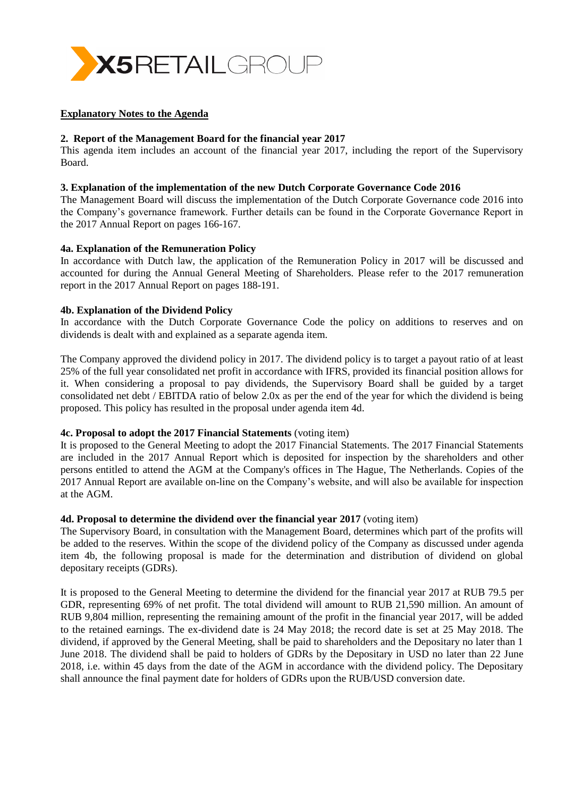

## **Explanatory Notes to the Agenda**

## **2. Report of the Management Board for the financial year 2017**

This agenda item includes an account of the financial year 2017, including the report of the Supervisory Board.

## **3. Explanation of the implementation of the new Dutch Corporate Governance Code 2016**

The Management Board will discuss the implementation of the Dutch Corporate Governance code 2016 into the Company's governance framework. Further details can be found in the Corporate Governance Report in the 2017 Annual Report on pages 166-167.

## **4a. Explanation of the Remuneration Policy**

In accordance with Dutch law, the application of the Remuneration Policy in 2017 will be discussed and accounted for during the Annual General Meeting of Shareholders. Please refer to the 2017 remuneration report in the 2017 Annual Report on pages 188-191.

## **4b. Explanation of the Dividend Policy**

In accordance with the Dutch Corporate Governance Code the policy on additions to reserves and on dividends is dealt with and explained as a separate agenda item.

The Company approved the dividend policy in 2017. The dividend policy is to target a payout ratio of at least 25% of the full year consolidated net profit in accordance with IFRS, provided its financial position allows for it. When considering a proposal to pay dividends, the Supervisory Board shall be guided by a target consolidated net debt / EBITDA ratio of below 2.0x as per the end of the year for which the dividend is being proposed. This policy has resulted in the proposal under agenda item 4d.

## **4c. Proposal to adopt the 2017 Financial Statements** (voting item)

It is proposed to the General Meeting to adopt the 2017 Financial Statements. The 2017 Financial Statements are included in the 2017 Annual Report which is deposited for inspection by the shareholders and other persons entitled to attend the AGM at the Company's offices in The Hague, The Netherlands. Copies of the 2017 Annual Report are available on-line on the Company's website, and will also be available for inspection at the AGM.

## **4d. Proposal to determine the dividend over the financial year 2017** (voting item)

The Supervisory Board, in consultation with the Management Board, determines which part of the profits will be added to the reserves. Within the scope of the dividend policy of the Company as discussed under agenda item 4b, the following proposal is made for the determination and distribution of dividend on global depositary receipts (GDRs).

It is proposed to the General Meeting to determine the dividend for the financial year 2017 at RUB 79.5 per GDR, representing 69% of net profit. The total dividend will amount to RUB 21,590 million. An amount of RUB 9,804 million, representing the remaining amount of the profit in the financial year 2017, will be added to the retained earnings. The ex-dividend date is 24 May 2018; the record date is set at 25 May 2018. The dividend, if approved by the General Meeting, shall be paid to shareholders and the Depositary no later than 1 June 2018. The dividend shall be paid to holders of GDRs by the Depositary in USD no later than 22 June 2018, i.e. within 45 days from the date of the AGM in accordance with the dividend policy. The Depositary shall announce the final payment date for holders of GDRs upon the RUB/USD conversion date.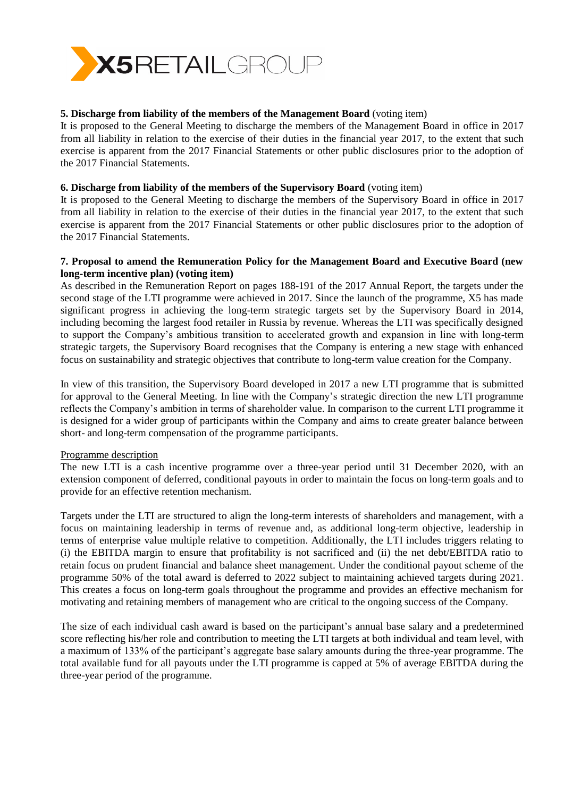

## **5. Discharge from liability of the members of the Management Board** (voting item)

It is proposed to the General Meeting to discharge the members of the Management Board in office in 2017 from all liability in relation to the exercise of their duties in the financial year 2017, to the extent that such exercise is apparent from the 2017 Financial Statements or other public disclosures prior to the adoption of the 2017 Financial Statements.

## **6. Discharge from liability of the members of the Supervisory Board** (voting item)

It is proposed to the General Meeting to discharge the members of the Supervisory Board in office in 2017 from all liability in relation to the exercise of their duties in the financial year 2017, to the extent that such exercise is apparent from the 2017 Financial Statements or other public disclosures prior to the adoption of the 2017 Financial Statements.

## **7. Proposal to amend the Remuneration Policy for the Management Board and Executive Board (new long-term incentive plan) (voting item)**

As described in the Remuneration Report on pages 188-191 of the 2017 Annual Report, the targets under the second stage of the LTI programme were achieved in 2017. Since the launch of the programme, X5 has made significant progress in achieving the long-term strategic targets set by the Supervisory Board in 2014, including becoming the largest food retailer in Russia by revenue. Whereas the LTI was specifically designed to support the Company's ambitious transition to accelerated growth and expansion in line with long-term strategic targets, the Supervisory Board recognises that the Company is entering a new stage with enhanced focus on sustainability and strategic objectives that contribute to long-term value creation for the Company.

In view of this transition, the Supervisory Board developed in 2017 a new LTI programme that is submitted for approval to the General Meeting. In line with the Company's strategic direction the new LTI programme reflects the Company's ambition in terms of shareholder value. In comparison to the current LTI programme it is designed for a wider group of participants within the Company and aims to create greater balance between short- and long-term compensation of the programme participants.

## Programme description

The new LTI is a cash incentive programme over a three-year period until 31 December 2020, with an extension component of deferred, conditional payouts in order to maintain the focus on long-term goals and to provide for an effective retention mechanism.

Targets under the LTI are structured to align the long-term interests of shareholders and management, with a focus on maintaining leadership in terms of revenue and, as additional long-term objective, leadership in terms of enterprise value multiple relative to competition. Additionally, the LTI includes triggers relating to (i) the EBITDA margin to ensure that profitability is not sacrificed and (ii) the net debt/EBITDA ratio to retain focus on prudent financial and balance sheet management. Under the conditional payout scheme of the programme 50% of the total award is deferred to 2022 subject to maintaining achieved targets during 2021. This creates a focus on long-term goals throughout the programme and provides an effective mechanism for motivating and retaining members of management who are critical to the ongoing success of the Company.

The size of each individual cash award is based on the participant's annual base salary and a predetermined score reflecting his/her role and contribution to meeting the LTI targets at both individual and team level, with a maximum of 133% of the participant's aggregate base salary amounts during the three-year programme. The total available fund for all payouts under the LTI programme is capped at 5% of average EBITDA during the three-year period of the programme.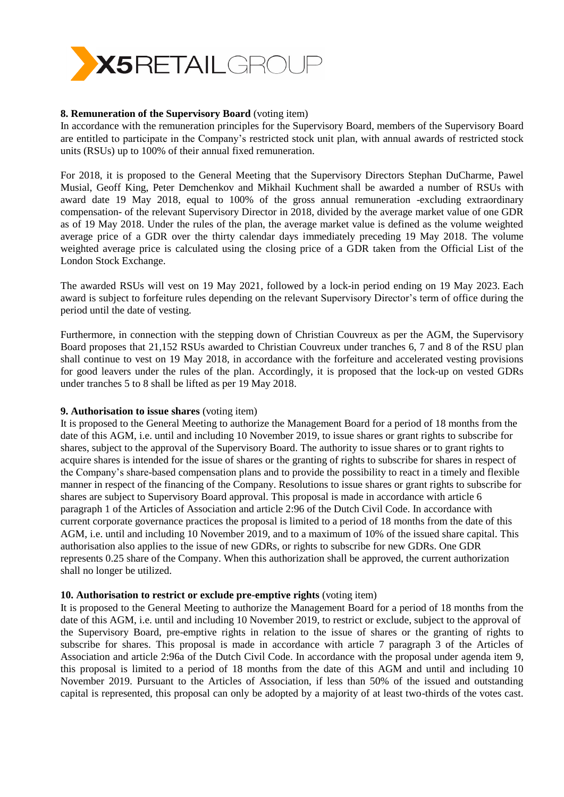

## **8. Remuneration of the Supervisory Board** (voting item)

In accordance with the remuneration principles for the Supervisory Board, members of the Supervisory Board are entitled to participate in the Company's restricted stock unit plan, with annual awards of restricted stock units (RSUs) up to 100% of their annual fixed remuneration.

For 2018, it is proposed to the General Meeting that the Supervisory Directors Stephan DuCharme, Pawel Musial, Geoff King, Peter Demchenkov and Mikhail Kuchment shall be awarded a number of RSUs with award date 19 May 2018, equal to 100% of the gross annual remuneration -excluding extraordinary compensation- of the relevant Supervisory Director in 2018, divided by the average market value of one GDR as of 19 May 2018. Under the rules of the plan, the average market value is defined as the volume weighted average price of a GDR over the thirty calendar days immediately preceding 19 May 2018. The volume weighted average price is calculated using the closing price of a GDR taken from the Official List of the London Stock Exchange.

The awarded RSUs will vest on 19 May 2021, followed by a lock-in period ending on 19 May 2023. Each award is subject to forfeiture rules depending on the relevant Supervisory Director's term of office during the period until the date of vesting.

Furthermore, in connection with the stepping down of Christian Couvreux as per the AGM, the Supervisory Board proposes that 21,152 RSUs awarded to Christian Couvreux under tranches 6, 7 and 8 of the RSU plan shall continue to vest on 19 May 2018, in accordance with the forfeiture and accelerated vesting provisions for good leavers under the rules of the plan. Accordingly, it is proposed that the lock-up on vested GDRs under tranches 5 to 8 shall be lifted as per 19 May 2018.

## **9. Authorisation to issue shares** (voting item)

It is proposed to the General Meeting to authorize the Management Board for a period of 18 months from the date of this AGM, i.e. until and including 10 November 2019, to issue shares or grant rights to subscribe for shares, subject to the approval of the Supervisory Board. The authority to issue shares or to grant rights to acquire shares is intended for the issue of shares or the granting of rights to subscribe for shares in respect of the Company's share-based compensation plans and to provide the possibility to react in a timely and flexible manner in respect of the financing of the Company. Resolutions to issue shares or grant rights to subscribe for shares are subject to Supervisory Board approval. This proposal is made in accordance with article 6 paragraph 1 of the Articles of Association and article 2:96 of the Dutch Civil Code. In accordance with current corporate governance practices the proposal is limited to a period of 18 months from the date of this AGM, i.e. until and including 10 November 2019, and to a maximum of 10% of the issued share capital. This authorisation also applies to the issue of new GDRs, or rights to subscribe for new GDRs. One GDR represents 0.25 share of the Company. When this authorization shall be approved, the current authorization shall no longer be utilized.

## **10. Authorisation to restrict or exclude pre-emptive rights** (voting item)

It is proposed to the General Meeting to authorize the Management Board for a period of 18 months from the date of this AGM, i.e. until and including 10 November 2019, to restrict or exclude, subject to the approval of the Supervisory Board, pre-emptive rights in relation to the issue of shares or the granting of rights to subscribe for shares. This proposal is made in accordance with article 7 paragraph 3 of the Articles of Association and article 2:96a of the Dutch Civil Code. In accordance with the proposal under agenda item 9, this proposal is limited to a period of 18 months from the date of this AGM and until and including 10 November 2019. Pursuant to the Articles of Association, if less than 50% of the issued and outstanding capital is represented, this proposal can only be adopted by a majority of at least two-thirds of the votes cast.